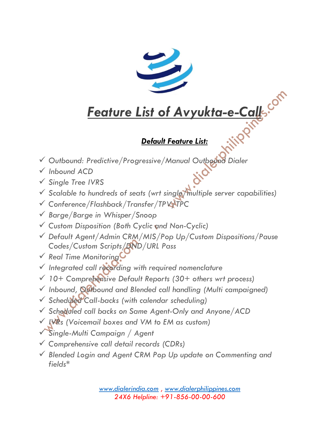

# *Feature List of Avyukta-e-Call*

### *Default Feature List:*

- ✓ *Outbound: Predictive/Progressive/Manual Outbound Dialer*
- ✓ *Inbound ACD*
- ✓ *Single Tree IVRS*
- ✓ *Scalable to hundreds of seats (wrt single/multiple server capabilities)*
- ✓ *Conference/Flashback/Transfer/TPV/TPC*
- ✓ *Barge/Barge in Whisper/Snoop*
- ✓ *Custom Disposition (Both Cyclic and Non-Cyclic)*
- ✓ *Default Agent/Admin CRM/MIS/Pop Up/Custom Dispositions/Pause Codes/Custom Scripts/DND/URL Pass*
- ✓ *Real Time Monitoring*
- ✓ *Integrated call recording with required nomenclature*
- ✓ *10+ Comprehensive Default Reports (30+ others wrt process)*
- ✓ *Inbound, Outbound and Blended call handling (Multi campaigned)*
- ✓ *Scheduled Call-backs (with calendar scheduling)*
- ✓ *Scheduled call backs on Same Agent-Only and Anyone/ACD*
- ✓ *IVRs (Voicemail boxes and VM to EM as custom)*
- ✓ *Single-Multi Campaign / Agent*
- ✓ *Comprehensive call detail records (CDRs)*
- ✓ *Blended Login and Agent CRM Pop Up update on Commenting and fields\**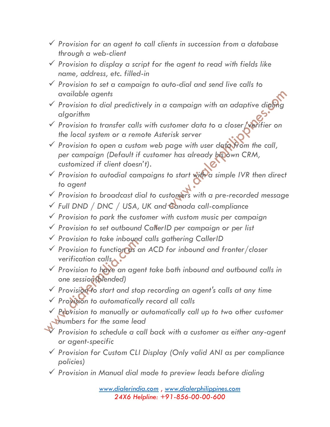- ✓ *Provision for an agent to call clients in succession from a database through a web-client*
- ✓ *Provision to display a script for the agent to read with fields like name, address, etc. filled-in*
- ✓ *Provision to set a campaign to auto-dial and send live calls to available agents*
- ✓ *Provision to dial predictively in a campaign with an adaptive dialing algorithm*
- ✓ *Provision to transfer calls with customer data to a closer/verifier on the local system or a remote Asterisk server*
- ✓ *Provision to open a custom web page with user data from the call, per campaign (Default if customer has already his own CRM, customized if client doesn't).*
- ✓ *Provision to autodial campaigns to start with a simple IVR then direct to agent*
- ✓ *Provision to broadcast dial to customers with a pre-recorded message*
- ✓ *Full DND / DNC / USA, UK and Canada call-compliance*
- ✓ *Provision to park the customer with custom music per campaign*
- ✓ *Provision to set outbound CallerID per campaign or per list*
- ✓ *Provision to take inbound calls gathering CallerID*
- ✓ *Provision to function as an ACD for inbound and fronter/closer verification calls*
- ✓ *Provision to have an agent take both inbound and outbound calls in one session(blended)*
- ✓ *Provision to start and stop recording an agent's calls at any time*
- ✓ *Provision to automatically record all calls*
- ✓ *Provision to manually or automatically call up to two other customer numbers for the same lead*

✓ *Provision to schedule a call back with a customer as either any-agent or agent-specific*

- ✓ *Provision for Custom CLI Display (Only valid ANI as per compliance policies)*
- ✓ *Provision in Manual dial mode to preview leads before dialing*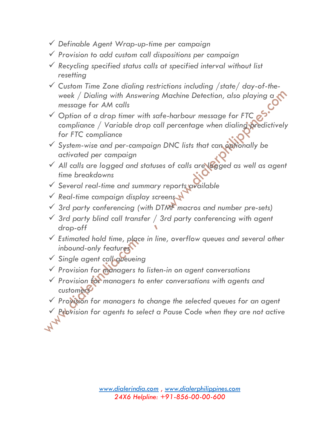- ✓ *Definable Agent Wrap-up-time per campaign*
- ✓ *Provision to add custom call dispositions per campaign*
- ✓ *Recycling specified status calls at specified interval without list resetting*
- ✓ *Custom Time Zone dialing restrictions including /state/ day-of-theweek / Dialing with Answering Machine Detection, also playing a message for AM calls*
- ✓ *Option of a drop timer with safe-harbour message for FTC compliance / Variable drop call percentage when dialing predictively for FTC compliance*
- ✓ *System-wise and per-campaign DNC lists that can optionally be activated per campaign*
- ✓ *All calls are logged and statuses of calls are logged as well as agent time breakdowns*
- ✓ *Several real-time and summary reports available*
- ✓ *Real-time campaign display screens*
- ✓ *3rd party conferencing (with DTMF macros and number pre-sets)*
- ✓ *3rd party blind call transfer / 3rd party conferencing with agent drop-off*
- ✓ *Estimated hold time, place in line, overflow queues and several other inbound-only features*
- ✓ *Single agent call queueing*
- ✓ *Provision for managers to listen-in on agent conversations*
- ✓ *Provision for managers to enter conversations with agents and customers*
- ✓ *Provision for managers to change the selected queues for an agent*
	- **Provision for agents to select a Pause Code when they are not active**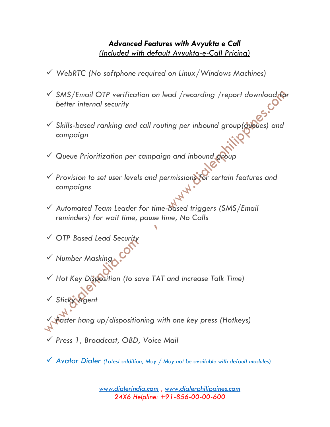#### *Advanced Features with Avyukta e Call (Included with default Avyukta-e-Call Pricing)*

- ✓ *WebRTC (No softphone required on Linux/Windows Machines)*
- ✓ *SMS/Email OTP verification on lead /recording /report download for better internal security*
- ✓ *Skills-based ranking and call routing per inbound group(queues) and campaign*
- ✓ *Queue Prioritization per campaign and inbound group*
- ✓ *Provision to set user levels and permissions for certain features and campaigns*
- ✓ *Automated Team Leader for time-based triggers (SMS/Email reminders) for wait time, pause time, No Calls*
- ✓ *OTP Based Lead Security*
- ✓ *Number Masking*
- ✓ *Hot Key Disposition (to save TAT and increase Talk Time)*
- ✓ *Sticky Agent*
- ✓ *Faster hang up/dispositioning with one key press (Hotkeys)*
- ✓ *Press 1, Broadcast, OBD, Voice Mail*
- ✓ *Avatar Dialer (Latest addition, May / May not be available with default modules)*

*[www.dialerindia.com](http://www.dialerindia.com/) , [www.dialerphilippines.com](http://www.dialerphilippines.com/) 24X6 Helpline: +91-856-00-00-600*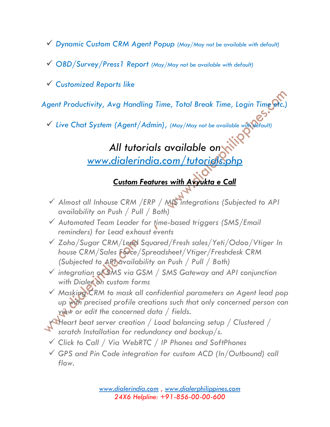- ✓ *Dynamic Custom CRM Agent Popup (May/May not be available with default)*
- ✓ *OBD/Survey/Press1 Report (May/May not be available with default)*
- ✓ *Customized Reports like*

Agent Productivity, Avg Handling Time, Total Break Time, Login Time etc.

✓ *Live Chat System (Agent/Admin), (May/May not be available with default)*

# *All tutorials available on [www.dialerindia.com/tutorials.php](http://www.dialerindia.com/tutorials.php)*

## *Custom Features with Avyukta e Call*

- ✓ *Almost all Inhouse CRM /ERP / MIS integrations (Subjected to API availability on Push / Pull / Both)*
- ✓ *Automated Team Leader for time-based triggers (SMS/Email reminders) for Lead exhaust events*
- ✓ *Zoho/Sugar CRM/Lead Squared/Fresh sales/Yeti/Odoo/Vtiger In house CRM/Sales Force/Spreadsheet/Vtiger/Freshdesk CRM (Subjected to API availability on Push / Pull / Both)*
- ✓ *integration of SMS via GSM / SMS Gateway and API conjunction with Dialer on custom forms*
- ✓ *Masking CRM to mask all confidential parameters on Agent lead pop up with precised profile creations such that only concerned person can view or edit the concerned data / fields.*
- ✓ *Heart beat server creation / Load balancing setup / Clustered / scratch Installation for redundancy and backup/s.*
- ✓ *Click to Call / Via WebRTC / IP Phones and SoftPhones*
- ✓ *GPS and Pin Code integration for custom ACD (In/Outbound) call flow.*